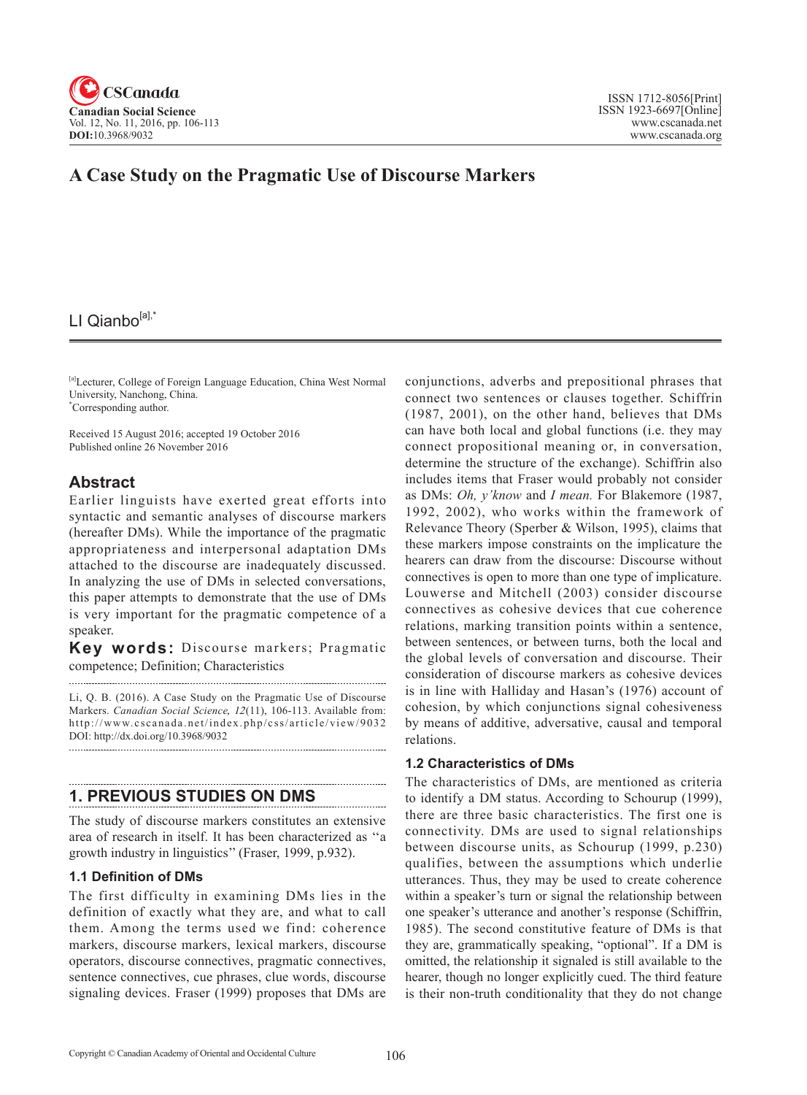

# **A Case Study on the Pragmatic Use of Discourse Markers**

# LI Qianbo[a],'

[a]Lecturer, College of Foreign Language Education, China West Normal University, Nanchong, China. \* Corresponding author.

Received 15 August 2016; accepted 19 October 2016 Published online 26 November 2016

## **Abstract**

Earlier linguists have exerted great efforts into syntactic and semantic analyses of discourse markers (hereafter DMs). While the importance of the pragmatic appropriateness and interpersonal adaptation DMs attached to the discourse are inadequately discussed. In analyzing the use of DMs in selected conversations, this paper attempts to demonstrate that the use of DMs is very important for the pragmatic competence of a speaker.

**Key words:** Discourse markers; Pragmatic competence; Definition; Characteristics 

Li, Q. B. (2016). A Case Study on the Pragmatic Use of Discourse Markers. *Canadian Social Science*, <sup>12</sup>(11), 106-113. Available from: http://www.cscanada.net/index.php/css/article/view/9032 DOI: http://dx.doi.org/10.3968/9032 

## **1. PREVIOUS STUDIES ON DMS**

The study of discourse markers constitutes an extensive area of research in itself. It has been characterized as ''a growth industry in linguistics'' (Fraser, 1999, p.932).

## **1.1 Definition of DMs**

The first difficulty in examining DMs lies in the definition of exactly what they are, and what to call them. Among the terms used we find: coherence markers, discourse markers, lexical markers, discourse operators, discourse connectives, pragmatic connectives, sentence connectives, cue phrases, clue words, discourse signaling devices. Fraser (1999) proposes that DMs are conjunctions, adverbs and prepositional phrases that connect two sentences or clauses together. Schiffrin (1987, 2001), on the other hand, believes that DMs can have both local and global functions (i.e. they may connect propositional meaning or, in conversation, determine the structure of the exchange). Schiffrin also includes items that Fraser would probably not consider as DMs: *Oh, y'know* and *I mean.* For Blakemore (1987, 1992, 2002), who works within the framework of Relevance Theory (Sperber & Wilson, 1995), claims that these markers impose constraints on the implicature the hearers can draw from the discourse: Discourse without connectives is open to more than one type of implicature. Louwerse and Mitchell (2003) consider discourse connectives as cohesive devices that cue coherence relations, marking transition points within a sentence, between sentences, or between turns, both the local and the global levels of conversation and discourse. Their consideration of discourse markers as cohesive devices is in line with Halliday and Hasan's (1976) account of cohesion, by which conjunctions signal cohesiveness by means of additive, adversative, causal and temporal relations.

## **1.2 Characteristics of DMs**

The characteristics of DMs, are mentioned as criteria to identify a DM status. According to Schourup (1999), there are three basic characteristics. The first one is connectivity. DMs are used to signal relationships between discourse units, as Schourup (1999, p.230) qualifies, between the assumptions which underlie utterances. Thus, they may be used to create coherence within a speaker's turn or signal the relationship between one speaker's utterance and another's response (Schiffrin, 1985). The second constitutive feature of DMs is that they are, grammatically speaking, "optional". If a DM is omitted, the relationship it signaled is still available to the hearer, though no longer explicitly cued. The third feature is their non-truth conditionality that they do not change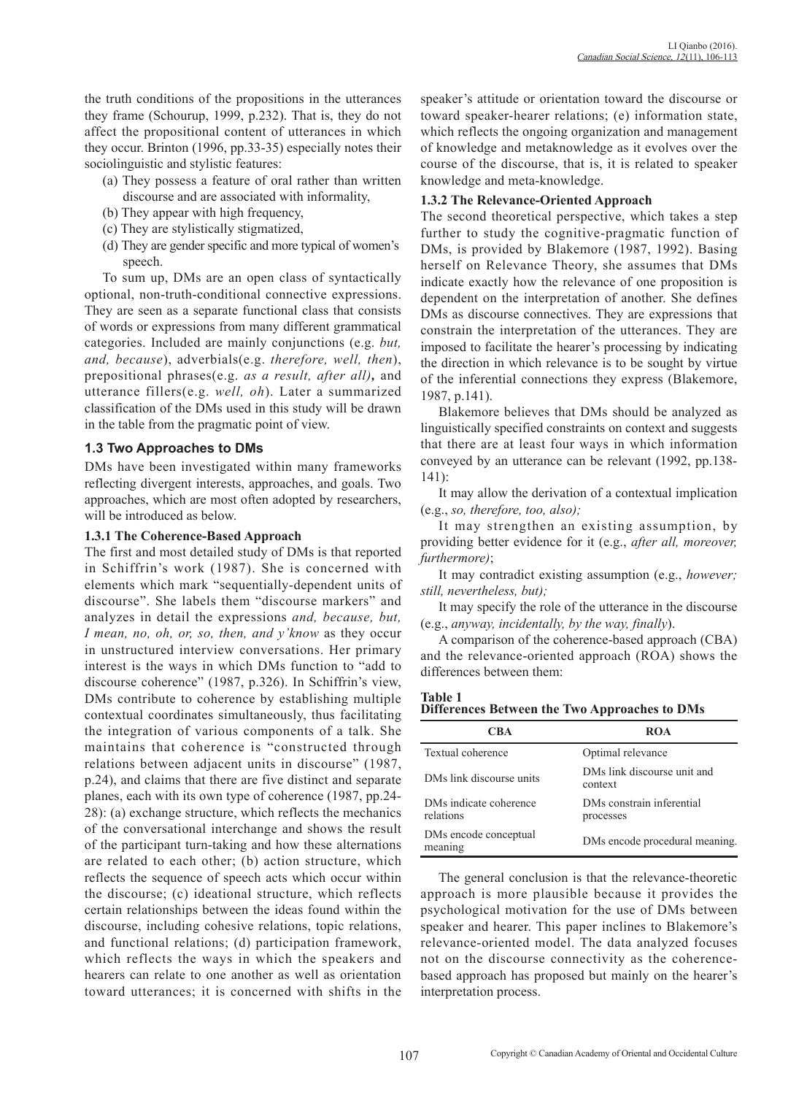the truth conditions of the propositions in the utterances they frame (Schourup, 1999, p.232). That is, they do not affect the propositional content of utterances in which they occur. Brinton (1996, pp.33-35) especially notes their sociolinguistic and stylistic features:

- (a) They possess a feature of oral rather than written discourse and are associated with informality,
- (b) They appear with high frequency,
- (c) They are stylistically stigmatized,
- (d) They are gender specific and more typical of women's speech.

To sum up, DMs are an open class of syntactically optional, non-truth-conditional connective expressions. They are seen as a separate functional class that consists of words or expressions from many different grammatical categories. Included are mainly conjunctions (e.g. *but, and, because*), adverbials(e.g. *therefore, well, then*), prepositional phrases(e.g. *as a result, after all),* and utterance fillers(e.g. *well, oh*). Later a summarized classification of the DMs used in this study will be drawn in the table from the pragmatic point of view.

## **1.3 Two Approaches to DMs**

DMs have been investigated within many frameworks reflecting divergent interests, approaches, and goals. Two approaches, which are most often adopted by researchers, will be introduced as below.

### **1.3.1 The Coherence-Based Approach**

The first and most detailed study of DMs is that reported in Schiffrin's work (1987). She is concerned with elements which mark "sequentially-dependent units of discourse". She labels them "discourse markers" and analyzes in detail the expressions *and, because, but, I mean, no, oh, or, so, then, and y'know* as they occur in unstructured interview conversations. Her primary interest is the ways in which DMs function to "add to discourse coherence" (1987, p.326). In Schiffrin's view, DMs contribute to coherence by establishing multiple contextual coordinates simultaneously, thus facilitating the integration of various components of a talk. She maintains that coherence is "constructed through relations between adjacent units in discourse" (1987, p.24), and claims that there are five distinct and separate planes, each with its own type of coherence (1987, pp.24- 28): (a) exchange structure, which reflects the mechanics of the conversational interchange and shows the result of the participant turn-taking and how these alternations are related to each other; (b) action structure, which reflects the sequence of speech acts which occur within the discourse; (c) ideational structure, which reflects certain relationships between the ideas found within the discourse, including cohesive relations, topic relations, and functional relations; (d) participation framework, which reflects the ways in which the speakers and hearers can relate to one another as well as orientation toward utterances; it is concerned with shifts in the speaker's attitude or orientation toward the discourse or toward speaker-hearer relations; (e) information state, which reflects the ongoing organization and management of knowledge and metaknowledge as it evolves over the course of the discourse, that is, it is related to speaker knowledge and meta-knowledge.

### **1.3.2 The Relevance-Oriented Approach**

The second theoretical perspective, which takes a step further to study the cognitive-pragmatic function of DMs, is provided by Blakemore (1987, 1992). Basing herself on Relevance Theory, she assumes that DMs indicate exactly how the relevance of one proposition is dependent on the interpretation of another. She defines DMs as discourse connectives. They are expressions that constrain the interpretation of the utterances. They are imposed to facilitate the hearer's processing by indicating the direction in which relevance is to be sought by virtue of the inferential connections they express (Blakemore, 1987, p.141).

Blakemore believes that DMs should be analyzed as linguistically specified constraints on context and suggests that there are at least four ways in which information conveyed by an utterance can be relevant (1992, pp.138- 141):

It may allow the derivation of a contextual implication (e.g., *so, therefore, too, also);*

It may strengthen an existing assumption, by providing better evidence for it (e.g., *after all, moreover, furthermore)*;

It may contradict existing assumption (e.g., *however; still, nevertheless, but);*

It may specify the role of the utterance in the discourse (e.g., *anyway, incidentally, by the way, finally*).

A comparison of the coherence-based approach (CBA) and the relevance-oriented approach (ROA) shows the differences between them:

## **Table 1**

**Differences Between the Two Approaches to DMs**

| CBA                                 | <b>ROA</b>                             |  |
|-------------------------------------|----------------------------------------|--|
| Textual coherence                   | Optimal relevance                      |  |
| DMs link discourse units            | DMs link discourse unit and<br>context |  |
| DMs indicate coherence<br>relations | DMs constrain inferential<br>processes |  |
| DMs encode conceptual<br>meaning    | DMs encode procedural meaning.         |  |

The general conclusion is that the relevance-theoretic approach is more plausible because it provides the psychological motivation for the use of DMs between speaker and hearer. This paper inclines to Blakemore's relevance-oriented model. The data analyzed focuses not on the discourse connectivity as the coherencebased approach has proposed but mainly on the hearer's interpretation process.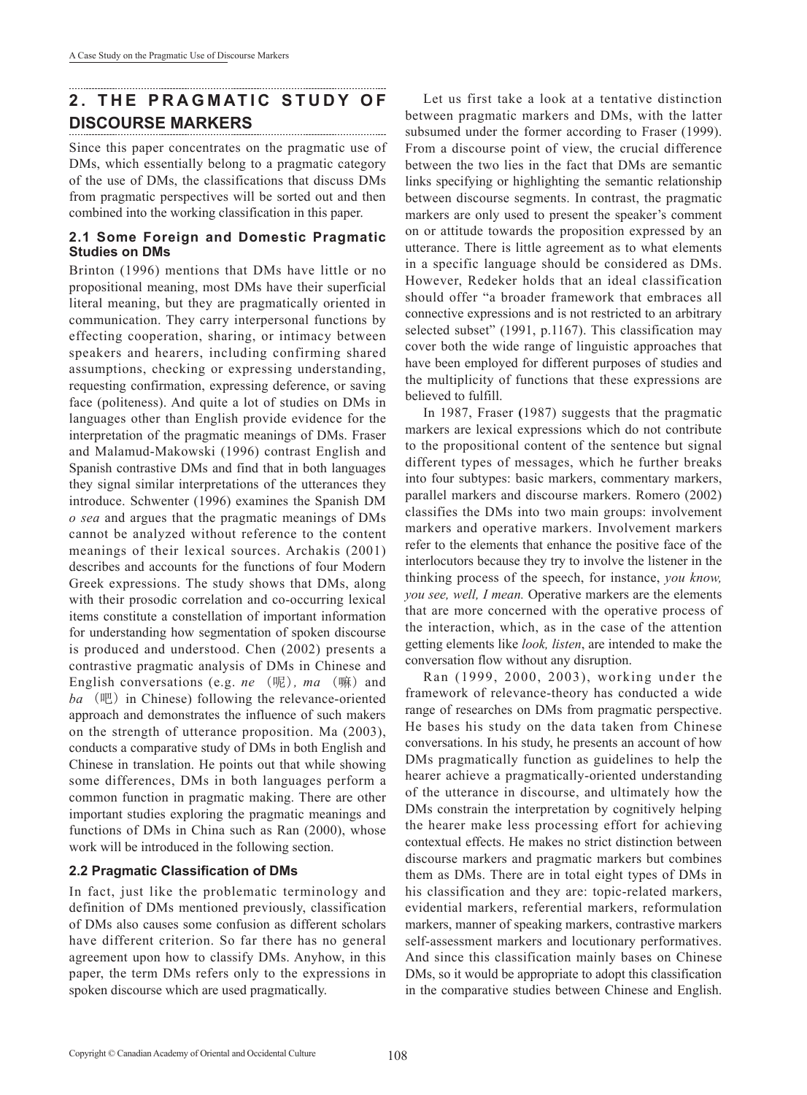# **2. THE PRAGMATIC STUDY OF DISCOURSE MARKERS**

Since this paper concentrates on the pragmatic use of DMs, which essentially belong to a pragmatic category of the use of DMs, the classifications that discuss DMs from pragmatic perspectives will be sorted out and then combined into the working classification in this paper.

## **2.1 Some Foreign and Domestic Pragmatic Studies on DMs**

Brinton (1996) mentions that DMs have little or no propositional meaning, most DMs have their superficial literal meaning, but they are pragmatically oriented in communication. They carry interpersonal functions by effecting cooperation, sharing, or intimacy between speakers and hearers, including confirming shared assumptions, checking or expressing understanding, requesting confirmation, expressing deference, or saving face (politeness). And quite a lot of studies on DMs in languages other than English provide evidence for the interpretation of the pragmatic meanings of DMs. Fraser and Malamud-Makowski (1996) contrast English and Spanish contrastive DMs and find that in both languages they signal similar interpretations of the utterances they introduce. Schwenter (1996) examines the Spanish DM *o sea* and argues that the pragmatic meanings of DMs cannot be analyzed without reference to the content meanings of their lexical sources. Archakis (2001) describes and accounts for the functions of four Modern Greek expressions. The study shows that DMs, along with their prosodic correlation and co-occurring lexical items constitute a constellation of important information for understanding how segmentation of spoken discourse is produced and understood. Chen (2002) presents a contrastive pragmatic analysis of DMs in Chinese and English conversations (e.g. *ne* (呢)*, ma* (嘛) and *ba* (吧) in Chinese) following the relevance-oriented approach and demonstrates the influence of such makers on the strength of utterance proposition. Ma (2003), conducts a comparative study of DMs in both English and Chinese in translation. He points out that while showing some differences, DMs in both languages perform a common function in pragmatic making. There are other important studies exploring the pragmatic meanings and functions of DMs in China such as Ran (2000), whose work will be introduced in the following section.

## **2.2 Pragmatic Classification of DMs**

In fact, just like the problematic terminology and definition of DMs mentioned previously, classification of DMs also causes some confusion as different scholars have different criterion. So far there has no general agreement upon how to classify DMs. Anyhow, in this paper, the term DMs refers only to the expressions in spoken discourse which are used pragmatically.

Let us first take a look at a tentative distinction between pragmatic markers and DMs, with the latter subsumed under the former according to Fraser (1999). From a discourse point of view, the crucial difference between the two lies in the fact that DMs are semantic links specifying or highlighting the semantic relationship between discourse segments. In contrast, the pragmatic markers are only used to present the speaker's comment on or attitude towards the proposition expressed by an utterance. There is little agreement as to what elements in a specific language should be considered as DMs. However, Redeker holds that an ideal classification should offer "a broader framework that embraces all connective expressions and is not restricted to an arbitrary selected subset" (1991, p.1167). This classification may cover both the wide range of linguistic approaches that have been employed for different purposes of studies and the multiplicity of functions that these expressions are believed to fulfill.

In 1987, Fraser **(**1987) suggests that the pragmatic markers are lexical expressions which do not contribute to the propositional content of the sentence but signal different types of messages, which he further breaks into four subtypes: basic markers, commentary markers, parallel markers and discourse markers. Romero (2002) classifies the DMs into two main groups: involvement markers and operative markers. Involvement markers refer to the elements that enhance the positive face of the interlocutors because they try to involve the listener in the thinking process of the speech, for instance, *you know, you see, well, I mean.* Operative markers are the elements that are more concerned with the operative process of the interaction, which, as in the case of the attention getting elements like *look, listen*, are intended to make the conversation flow without any disruption.

Ran (1999, 2000, 2003), working under the framework of relevance-theory has conducted a wide range of researches on DMs from pragmatic perspective. He bases his study on the data taken from Chinese conversations. In his study, he presents an account of how DMs pragmatically function as guidelines to help the hearer achieve a pragmatically-oriented understanding of the utterance in discourse, and ultimately how the DMs constrain the interpretation by cognitively helping the hearer make less processing effort for achieving contextual effects. He makes no strict distinction between discourse markers and pragmatic markers but combines them as DMs. There are in total eight types of DMs in his classification and they are: topic-related markers, evidential markers, referential markers, reformulation markers, manner of speaking markers, contrastive markers self-assessment markers and locutionary performatives. And since this classification mainly bases on Chinese DMs, so it would be appropriate to adopt this classification in the comparative studies between Chinese and English.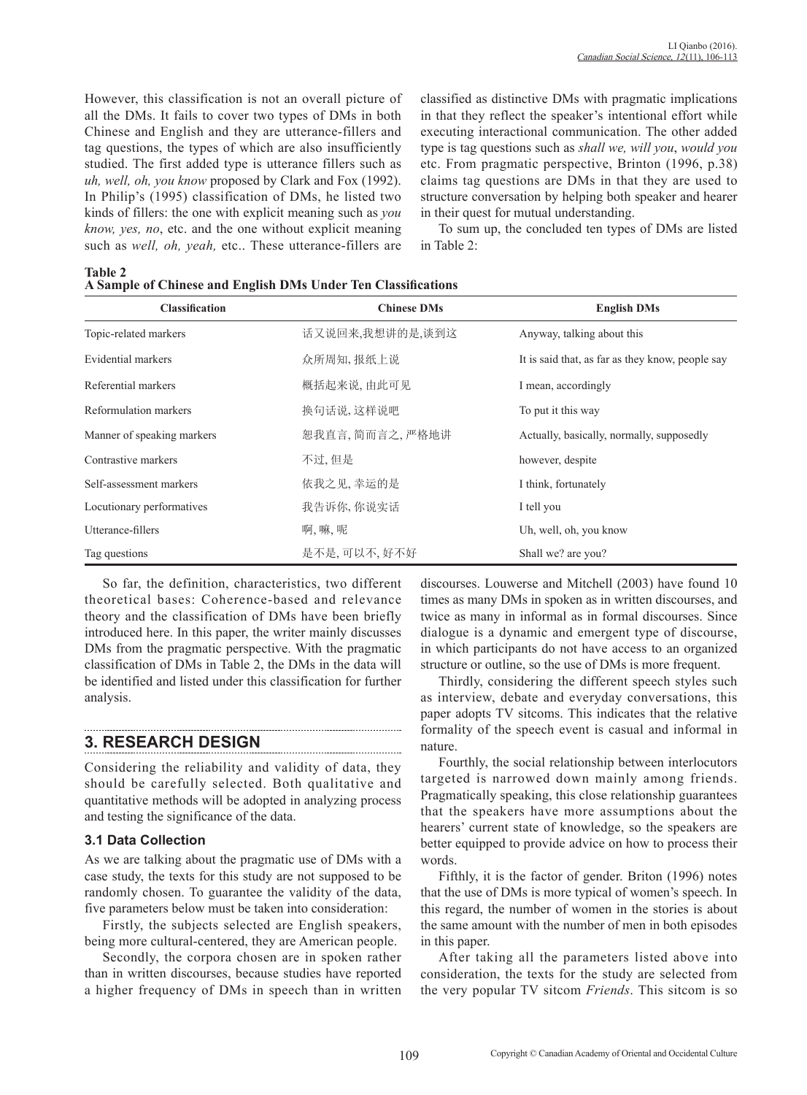However, this classification is not an overall picture of all the DMs. It fails to cover two types of DMs in both Chinese and English and they are utterance-fillers and tag questions, the types of which are also insufficiently studied. The first added type is utterance fillers such as *uh, well, oh, you know* proposed by Clark and Fox (1992). In Philip's (1995) classification of DMs, he listed two kinds of fillers: the one with explicit meaning such as *you know, yes, no*, etc. and the one without explicit meaning such as *well, oh, yeah,* etc.. These utterance-fillers are classified as distinctive DMs with pragmatic implications in that they reflect the speaker's intentional effort while executing interactional communication. The other added type is tag questions such as *shall we, will you*, *would you*  etc. From pragmatic perspective, Brinton (1996, p.38) claims tag questions are DMs in that they are used to structure conversation by helping both speaker and hearer in their quest for mutual understanding.

To sum up, the concluded ten types of DMs are listed in Table 2:

**Table 2 A Sample of Chinese and English DMs Under Ten Classifications**

| <b>Classification</b>      | <b>Chinese DMs</b> | <b>English DMs</b>                               |
|----------------------------|--------------------|--------------------------------------------------|
| Topic-related markers      | 话又说回来,我想讲的是,谈到这    | Anyway, talking about this                       |
| Evidential markers         | 众所周知, 报纸上说         | It is said that, as far as they know, people say |
| Referential markers        | 概括起来说,由此可见         | I mean, accordingly                              |
| Reformulation markers      | 换句话说, 这样说吧         | To put it this way                               |
| Manner of speaking markers | 恕我直言, 简而言之, 严格地讲   | Actually, basically, normally, supposedly        |
| Contrastive markers        | 不过,但是              | however, despite                                 |
| Self-assessment markers    | 依我之见,幸运的是          | I think, fortunately                             |
| Locutionary performatives  | 我告诉你, 你说实话         | I tell you                                       |
| Utterance-fillers          | 啊、嘛、呢              | Uh, well, oh, you know                           |
| Tag questions              | 是不是,可以不,好不好        | Shall we? are you?                               |

So far, the definition, characteristics, two different theoretical bases: Coherence-based and relevance theory and the classification of DMs have been briefly introduced here. In this paper, the writer mainly discusses DMs from the pragmatic perspective. With the pragmatic classification of DMs in Table 2, the DMs in the data will be identified and listed under this classification for further analysis.

## **3. RESEARCH DESIGN**

Considering the reliability and validity of data, they should be carefully selected. Both qualitative and quantitative methods will be adopted in analyzing process and testing the significance of the data.

## **3.1 Data Collection**

As we are talking about the pragmatic use of DMs with a case study, the texts for this study are not supposed to be randomly chosen. To guarantee the validity of the data, five parameters below must be taken into consideration:

Firstly, the subjects selected are English speakers, being more cultural-centered, they are American people.

Secondly, the corpora chosen are in spoken rather than in written discourses, because studies have reported a higher frequency of DMs in speech than in written discourses. Louwerse and Mitchell (2003) have found 10 times as many DMs in spoken as in written discourses, and twice as many in informal as in formal discourses. Since dialogue is a dynamic and emergent type of discourse, in which participants do not have access to an organized structure or outline, so the use of DMs is more frequent.

Thirdly, considering the different speech styles such as interview, debate and everyday conversations, this paper adopts TV sitcoms. This indicates that the relative formality of the speech event is casual and informal in nature.

Fourthly, the social relationship between interlocutors targeted is narrowed down mainly among friends. Pragmatically speaking, this close relationship guarantees that the speakers have more assumptions about the hearers' current state of knowledge, so the speakers are better equipped to provide advice on how to process their words.

Fifthly, it is the factor of gender. Briton (1996) notes that the use of DMs is more typical of women's speech. In this regard, the number of women in the stories is about the same amount with the number of men in both episodes in this paper.

After taking all the parameters listed above into consideration, the texts for the study are selected from the very popular TV sitcom *Friends*. This sitcom is so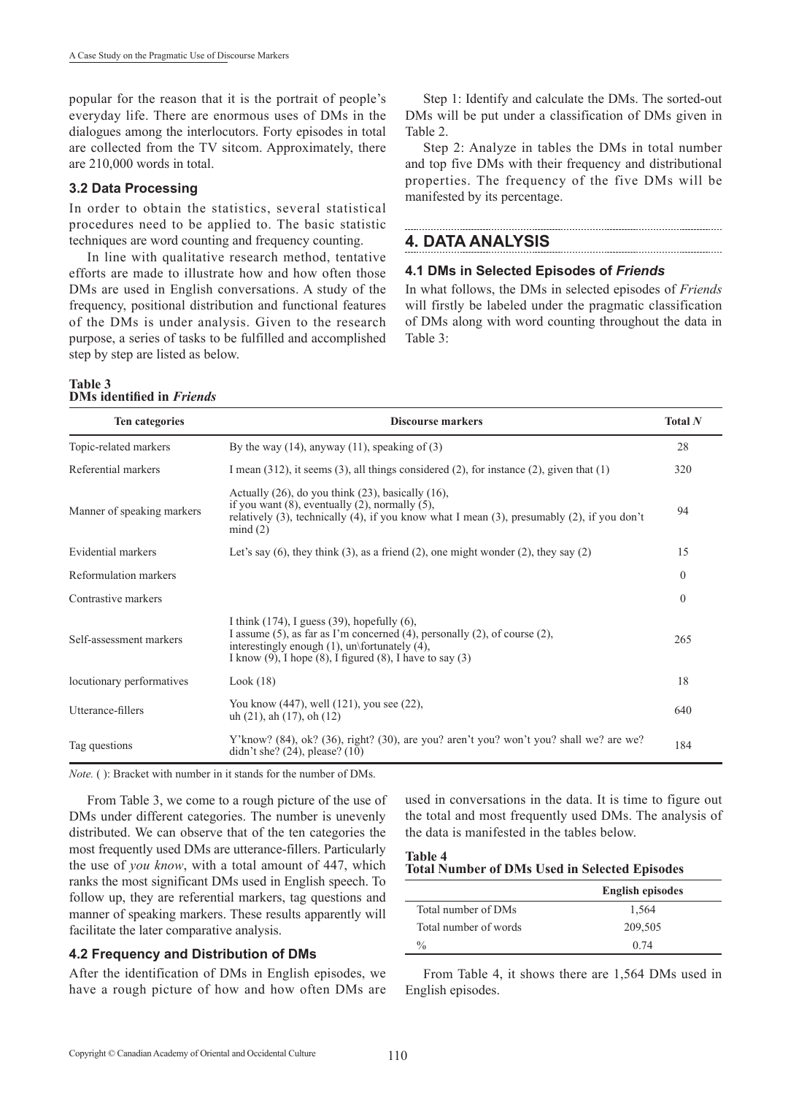popular for the reason that it is the portrait of people's everyday life. There are enormous uses of DMs in the dialogues among the interlocutors. Forty episodes in total are collected from the TV sitcom. Approximately, there are 210,000 words in total.

#### **3.2 Data Processing**

In order to obtain the statistics, several statistical procedures need to be applied to. The basic statistic techniques are word counting and frequency counting.

In line with qualitative research method, tentative efforts are made to illustrate how and how often those DMs are used in English conversations. A study of the frequency, positional distribution and functional features of the DMs is under analysis. Given to the research purpose, a series of tasks to be fulfilled and accomplished step by step are listed as below.

Step 1: Identify and calculate the DMs. The sorted-out DMs will be put under a classification of DMs given in Table 2.

Step 2: Analyze in tables the DMs in total number and top five DMs with their frequency and distributional properties. The frequency of the five DMs will be manifested by its percentage.

## **4. DATA ANALYSIS**

#### **4.1 DMs in Selected Episodes of** *Friends*

In what follows, the DMs in selected episodes of *Friends* will firstly be labeled under the pragmatic classification of DMs along with word counting throughout the data in Table 3:

#### **Table 3 DMs identified in** *Friends*

| Ten categories             | <b>Discourse markers</b>                                                                                                                                                                                                                                                    | Total $N$    |
|----------------------------|-----------------------------------------------------------------------------------------------------------------------------------------------------------------------------------------------------------------------------------------------------------------------------|--------------|
| Topic-related markers      | By the way $(14)$ , anyway $(11)$ , speaking of $(3)$                                                                                                                                                                                                                       | 28           |
| Referential markers        | I mean $(312)$ , it seems $(3)$ , all things considered $(2)$ , for instance $(2)$ , given that $(1)$                                                                                                                                                                       | 320          |
| Manner of speaking markers | Actually $(26)$ , do you think $(23)$ , basically $(16)$ ,<br>if you want $(8)$ , eventually $(2)$ , normally $(5)$ ,<br>relatively (3), technically (4), if you know what I mean (3), presumably (2), if you don't<br>mind(2)                                              | 94           |
| Evidential markers         | Let's say $(6)$ , they think $(3)$ , as a friend $(2)$ , one might wonder $(2)$ , they say $(2)$                                                                                                                                                                            | 15           |
| Reformulation markers      |                                                                                                                                                                                                                                                                             | $\mathbf{0}$ |
| Contrastive markers        |                                                                                                                                                                                                                                                                             | $\theta$     |
| Self-assessment markers    | I think $(174)$ , I guess $(39)$ , hopefully $(6)$ ,<br>I assume $(5)$ , as far as I'm concerned $(4)$ , personally $(2)$ , of course $(2)$ ,<br>interestingly enough $(1)$ , un\fortunately $(4)$ ,<br>I know $(9)$ , I hope $(8)$ , I figured $(8)$ , I have to say $(3)$ | 265          |
| locutionary performatives  | Look(18)                                                                                                                                                                                                                                                                    | 18           |
| Utterance-fillers          | You know $(447)$ , well $(121)$ , you see $(22)$ ,<br>uh $(21)$ , ah $(17)$ , oh $(12)$                                                                                                                                                                                     | 640          |
| Tag questions              | Y' know? (84), ok? (36), right? (30), are you? aren't you? won't you? shall we? are we?<br>didn't she? $(24)$ , please? $(10)$                                                                                                                                              | 184          |

*Note.* ( ): Bracket with number in it stands for the number of DMs.

From Table 3, we come to a rough picture of the use of DMs under different categories. The number is unevenly distributed. We can observe that of the ten categories the most frequently used DMs are utterance-fillers. Particularly the use of *you know*, with a total amount of 447, which ranks the most significant DMs used in English speech. To follow up, they are referential markers, tag questions and manner of speaking markers. These results apparently will facilitate the later comparative analysis.

### **4.2 Frequency and Distribution of DMs**

After the identification of DMs in English episodes, we have a rough picture of how and how often DMs are

used in conversations in the data. It is time to figure out the total and most frequently used DMs. The analysis of the data is manifested in the tables below.

### **Table 4 Total Number of DMs Used in Selected Episodes**

|                       | <b>English episodes</b> |
|-----------------------|-------------------------|
| Total number of DMs   | 1.564                   |
| Total number of words | 209,505                 |
| $\frac{0}{0}$         | 0.74                    |

From Table 4, it shows there are 1,564 DMs used in English episodes.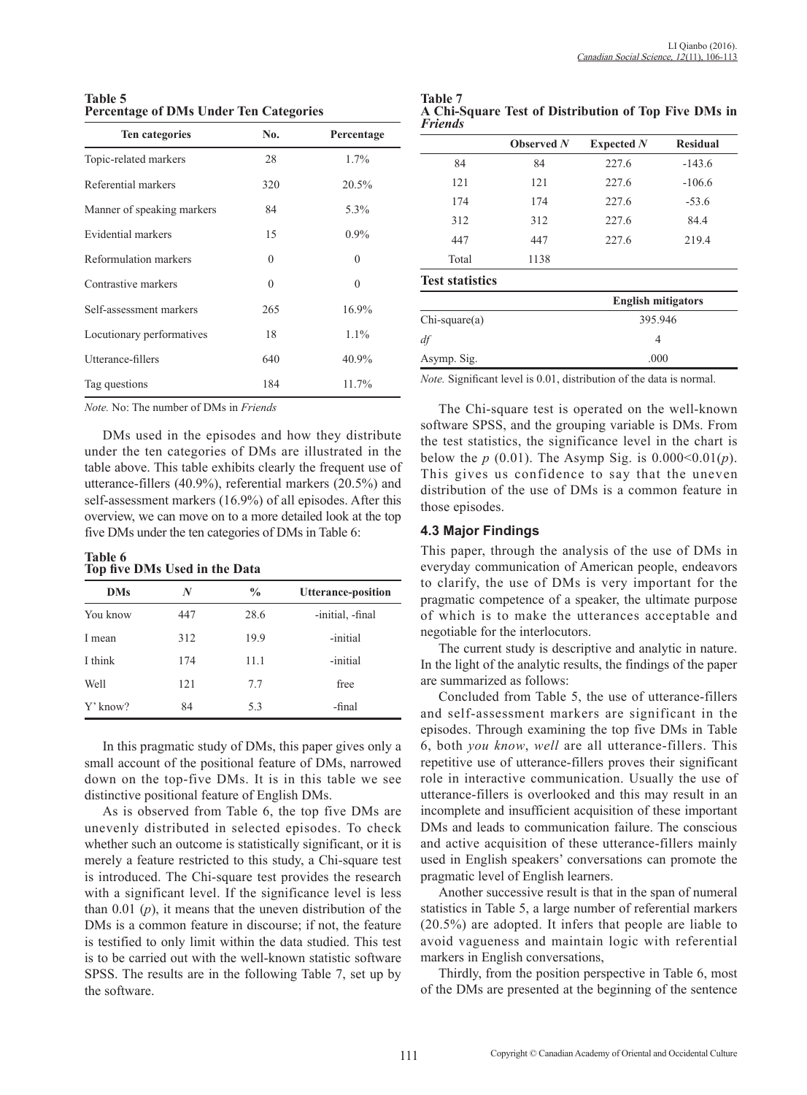**Table 5 Percentage of DMs Under Ten Categories**

| Ten categories             | No.      | Percentage |
|----------------------------|----------|------------|
| Topic-related markers      | 28       | $1.7\%$    |
| Referential markers        | 320      | 20.5%      |
| Manner of speaking markers | 84       | 5.3%       |
| Evidential markers         | 15       | $0.9\%$    |
| Reformulation markers      | $\Omega$ | $\theta$   |
| Contrastive markers        | $\theta$ | $\theta$   |
| Self-assessment markers    | 265      | 16.9%      |
| Locutionary performatives  | 18       | $1.1\%$    |
| Utterance-fillers          | 640      | $40.9\%$   |
| Tag questions              | 184      | 11.7%      |

*Note.* No: The number of DMs in *Friends*

DMs used in the episodes and how they distribute under the ten categories of DMs are illustrated in the table above. This table exhibits clearly the frequent use of utterance-fillers (40.9%), referential markers (20.5%) and self-assessment markers (16.9%) of all episodes. After this overview, we can move on to a more detailed look at the top five DMs under the ten categories of DMs in Table 6:

#### **Table 6 Top five DMs Used in the Data**

| <b>DMs</b> | N   | $\frac{0}{0}$ | <b>Utterance-position</b> |
|------------|-----|---------------|---------------------------|
| You know   | 447 | 28.6          | -initial, -final          |
| I mean     | 312 | 19.9          | -initial                  |
| I think    | 174 | 11.1          | -initial                  |
| Well       | 121 | 7.7           | free                      |
| Y' know?   | 84  | 5.3           | -final                    |

In this pragmatic study of DMs, this paper gives only a small account of the positional feature of DMs, narrowed down on the top-five DMs. It is in this table we see distinctive positional feature of English DMs.

As is observed from Table 6, the top five DMs are unevenly distributed in selected episodes. To check whether such an outcome is statistically significant, or it is merely a feature restricted to this study, a Chi-square test is introduced. The Chi-square test provides the research with a significant level. If the significance level is less than 0.01 (*p*), it means that the uneven distribution of the DMs is a common feature in discourse; if not, the feature is testified to only limit within the data studied. This test is to be carried out with the well-known statistic software SPSS. The results are in the following Table 7, set up by the software.

| <b>Table 7</b>                                       |  |  |  |
|------------------------------------------------------|--|--|--|
| A Chi-Square Test of Distribution of Top Five DMs in |  |  |  |
| <b>Friends</b>                                       |  |  |  |

|                        | Observed $N$ | Expected N                | <b>Residual</b> |  |
|------------------------|--------------|---------------------------|-----------------|--|
| 84                     | 84           | 227.6                     | $-143.6$        |  |
| 121                    | 121          | 227.6<br>$-106.6$         |                 |  |
| 174                    | 174          | 227.6                     | $-53.6$         |  |
| 312                    | 312          | 227.6                     | 84.4            |  |
| 447                    | 447          | 227.6                     | 219.4           |  |
| Total                  | 1138         |                           |                 |  |
| <b>Test statistics</b> |              |                           |                 |  |
|                        |              | <b>English mitigators</b> |                 |  |
| $Chi-square(a)$        |              | 395.946                   |                 |  |
| df                     |              | 4                         |                 |  |
| Asymp. Sig.            |              | .000                      |                 |  |

*Note.* Significant level is 0.01, distribution of the data is normal.

The Chi-square test is operated on the well-known software SPSS, and the grouping variable is DMs. From the test statistics, the significance level in the chart is below the *p* (0.01). The Asymp Sig. is  $0.000<0.01(p)$ . This gives us confidence to say that the uneven distribution of the use of DMs is a common feature in those episodes.

### **4.3 Major Findings**

This paper, through the analysis of the use of DMs in everyday communication of American people, endeavors to clarify, the use of DMs is very important for the pragmatic competence of a speaker, the ultimate purpose of which is to make the utterances acceptable and negotiable for the interlocutors.

The current study is descriptive and analytic in nature. In the light of the analytic results, the findings of the paper are summarized as follows:

Concluded from Table 5, the use of utterance-fillers and self-assessment markers are significant in the episodes. Through examining the top five DMs in Table 6, both *you know*, *well* are all utterance-fillers. This repetitive use of utterance-fillers proves their significant role in interactive communication. Usually the use of utterance-fillers is overlooked and this may result in an incomplete and insufficient acquisition of these important DMs and leads to communication failure. The conscious and active acquisition of these utterance-fillers mainly used in English speakers' conversations can promote the pragmatic level of English learners.

Another successive result is that in the span of numeral statistics in Table 5, a large number of referential markers (20.5%) are adopted. It infers that people are liable to avoid vagueness and maintain logic with referential markers in English conversations,

Thirdly, from the position perspective in Table 6, most of the DMs are presented at the beginning of the sentence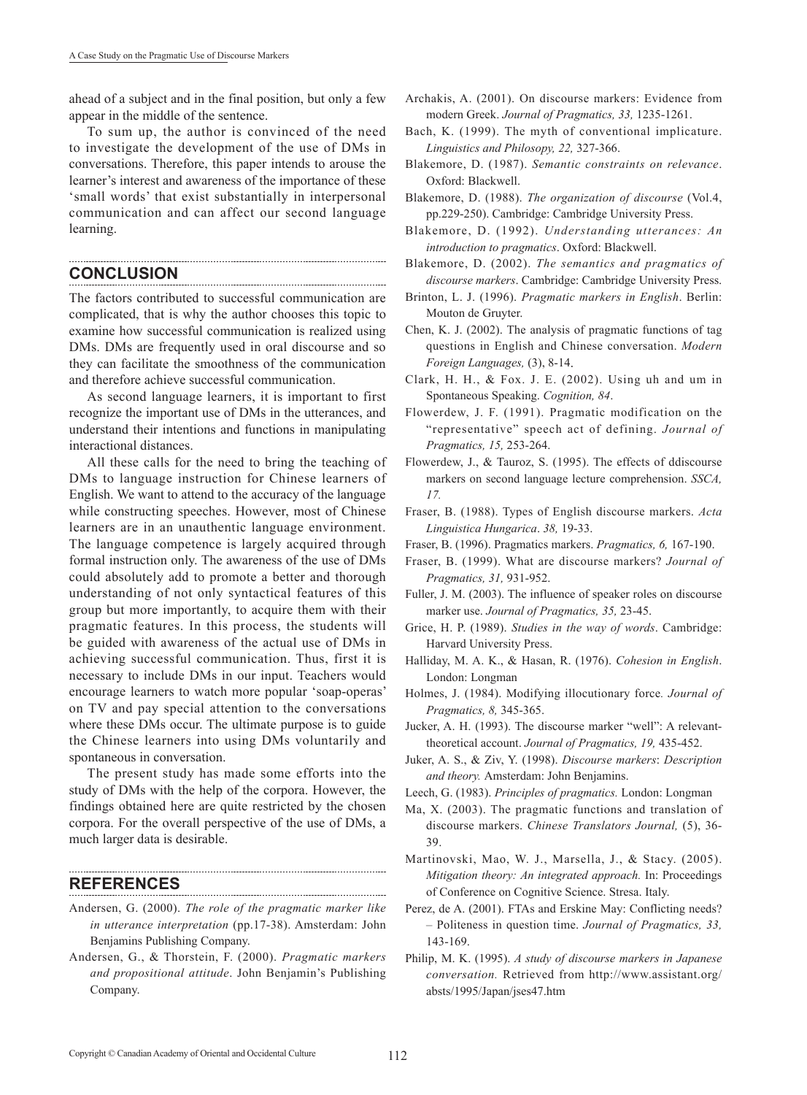ahead of a subject and in the final position, but only a few appear in the middle of the sentence.

To sum up, the author is convinced of the need to investigate the development of the use of DMs in conversations. Therefore, this paper intends to arouse the learner's interest and awareness of the importance of these 'small words' that exist substantially in interpersonal communication and can affect our second language learning.

## **CONCLUSION**

The factors contributed to successful communication are complicated, that is why the author chooses this topic to examine how successful communication is realized using DMs. DMs are frequently used in oral discourse and so they can facilitate the smoothness of the communication and therefore achieve successful communication.

As second language learners, it is important to first recognize the important use of DMs in the utterances, and understand their intentions and functions in manipulating interactional distances.

All these calls for the need to bring the teaching of DMs to language instruction for Chinese learners of English. We want to attend to the accuracy of the language while constructing speeches. However, most of Chinese learners are in an unauthentic language environment. The language competence is largely acquired through formal instruction only. The awareness of the use of DMs could absolutely add to promote a better and thorough understanding of not only syntactical features of this group but more importantly, to acquire them with their pragmatic features. In this process, the students will be guided with awareness of the actual use of DMs in achieving successful communication. Thus, first it is necessary to include DMs in our input. Teachers would encourage learners to watch more popular 'soap-operas' on TV and pay special attention to the conversations where these DMs occur. The ultimate purpose is to guide the Chinese learners into using DMs voluntarily and spontaneous in conversation.

The present study has made some efforts into the study of DMs with the help of the corpora. However, the findings obtained here are quite restricted by the chosen corpora. For the overall perspective of the use of DMs, a much larger data is desirable.

## **REFERENCES**

Andersen, G. (2000). *The role of the pragmatic marker like in utterance interpretation* (pp.17-38). Amsterdam: John Benjamins Publishing Company.

Andersen, G., & Thorstein, F. (2000). *Pragmatic markers and propositional attitude*. John Benjamin's Publishing Company.

- Archakis, A. (2001). On discourse markers: Evidence from modern Greek. *Journal of Pragmatics, 33,* 1235-1261.
- Bach, K. (1999). The myth of conventional implicature. *Linguistics and Philosopy, 22,* 327-366.
- Blakemore, D. (1987). *Semantic constraints on relevance*. Oxford: Blackwell.
- Blakemore, D. (1988). *The organization of discourse* (Vol.4, pp.229-250). Cambridge: Cambridge University Press.
- Blakemore, D. (1992). *Understanding utterances: An introduction to pragmatics*. Oxford: Blackwell.
- Blakemore, D. (2002). *The semantics and pragmatics of discourse markers*. Cambridge: Cambridge University Press.
- Brinton, L. J. (1996). *Pragmatic markers in English*. Berlin: Mouton de Gruyter.
- Chen, K. J. (2002). The analysis of pragmatic functions of tag questions in English and Chinese conversation. *Modern Foreign Languages,* (3), 8-14.
- Clark, H. H., & Fox. J. E. (2002). Using uh and um in Spontaneous Speaking. *Cognition, 84*.
- Flowerdew, J. F. (1991). Pragmatic modification on the "representative" speech act of defining. *Journal of Pragmatics, 15,* 253-264.
- Flowerdew, J., & Tauroz, S. (1995). The effects of ddiscourse markers on second language lecture comprehension. *SSCA, 17.*
- Fraser, B. (1988). Types of English discourse markers. *Acta Linguistica Hungarica*. *38,* 19-33.
- Fraser, B. (1996). Pragmatics markers. *Pragmatics, 6,* 167-190.
- Fraser, B. (1999). What are discourse markers? *Journal of Pragmatics, 31,* 931-952.
- Fuller, J. M. (2003). The influence of speaker roles on discourse marker use. *Journal of Pragmatics, 35,* 23-45.
- Grice, H. P. (1989). *Studies in the way of words*. Cambridge: Harvard University Press.
- Halliday, M. A. K., & Hasan, R. (1976). *Cohesion in English*. London: Longman
- Holmes, J. (1984). Modifying illocutionary force*. Journal of Pragmatics, 8,* 345-365.
- Jucker, A. H. (1993). The discourse marker "well": A relevanttheoretical account. *Journal of Pragmatics, 19,* 435-452.
- Juker, A. S., & Ziv, Y. (1998). *Discourse markers*: *Description and theory.* Amsterdam: John Benjamins.
- Leech, G. (1983). *Principles of pragmatics.* London: Longman
- Ma, X. (2003). The pragmatic functions and translation of discourse markers. *Chinese Translators Journal,* (5), 36- 39.
- Martinovski, Mao, W. J., Marsella, J., & Stacy. (2005). *Mitigation theory: An integrated approach.* In: Proceedings of Conference on Cognitive Science. Stresa. Italy.
- Perez, de A. (2001). FTAs and Erskine May: Conflicting needs? – Politeness in question time. *Journal of Pragmatics, 33,* 143-169.
- Philip, M. K. (1995). *A study of discourse markers in Japanese conversation.* Retrieved from http://www.assistant.org/ absts/1995/Japan/jses47.htm